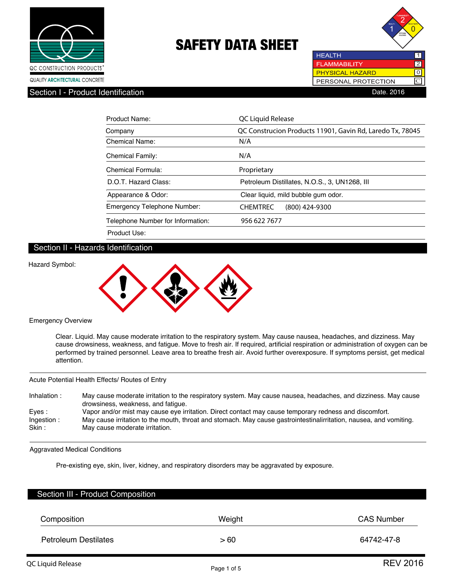



ल **C** 

PERSONAL PROTECTION

**HEALTH** 

**PHYSICAL HAZARD** 

Section I - Product Identification **Date. 2016** Contract in the Section Date. 2016

| Product Name:                     | QC Liquid Release                                         |
|-----------------------------------|-----------------------------------------------------------|
| Company                           | QC Construcion Products 11901, Gavin Rd, Laredo Tx, 78045 |
| <b>Chemical Name:</b>             | N/A                                                       |
| <b>Chemical Family:</b>           | N/A                                                       |
| Chemical Formula:                 | Proprietary                                               |
| D.O.T. Hazard Class:              | Petroleum Distillates, N.O.S., 3, UN1268, III             |
| Appearance & Odor:                | Clear liquid, mild bubble gum odor.                       |
| Emergency Telephone Number:       | <b>CHEMTREC</b><br>$(800)$ 424-9300                       |
| Telephone Number for Information: | 956 622 7677                                              |
| Product Use:                      |                                                           |

# Section II - Hazards Identification



Emergency Overview

 Clear. Liquid. May cause moderate irritation to the respiratory system. May cause nausea, headaches, and dizziness. May cause drowsiness, weakness, and fatigue. Move to fresh air. If required, artificial respiration or administration of oxygen can be performed by trained personnel. Leave area to breathe fresh air. Avoid further overexposure. If symptoms persist, get medical attention.

Acute Potential Health Effects/ Routes of Entry

| Inhalation: | May cause moderate irritation to the respiratory system. May cause nausea, headaches, and dizziness. May cause<br>drowsiness, weakness, and fatique. |
|-------------|------------------------------------------------------------------------------------------------------------------------------------------------------|
| Eves:       | Vapor and/or mist may cause eye irritation. Direct contact may cause temporary redness and discomfort.                                               |
| Ingestion:  | May cause irritation to the mouth, throat and stomach. May cause gastrointestinalirritation, nausea, and vomiting.                                   |
| Skin :      | May cause moderate irritation.                                                                                                                       |

Aggravated Medical Conditions

Pre-existing eye, skin, liver, kidney, and respiratory disorders may be aggravated by exposure.

| Section III - Product Composition |        |                   |
|-----------------------------------|--------|-------------------|
| Composition                       | Weight | <b>CAS Number</b> |
| <b>Petroleum Destilates</b>       | >60    | 64742-47-8        |

I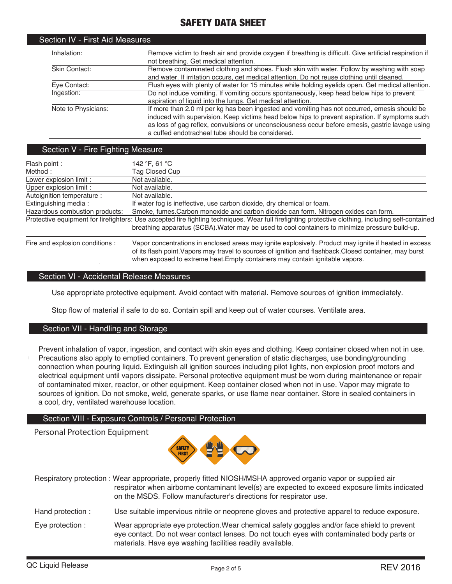| Section IV - First Aid Measures |                                                                                                                                                                                                                                                                                                                                                       |
|---------------------------------|-------------------------------------------------------------------------------------------------------------------------------------------------------------------------------------------------------------------------------------------------------------------------------------------------------------------------------------------------------|
| Inhalation:                     | Remove victim to fresh air and provide oxygen if breathing is difficult. Give artificial respiration if<br>not breathing. Get medical attention.                                                                                                                                                                                                      |
| Skin Contact:                   | Remove contaminated clothing and shoes. Flush skin with water. Follow by washing with soap<br>and water. If irritation occurs, get medical attention. Do not reuse clothing until cleaned.                                                                                                                                                            |
| Eye Contact:                    | Flush eyes with plenty of water for 15 minutes while holding eyelids open. Get medical attention.                                                                                                                                                                                                                                                     |
| Ingestion:                      | Do not induce vomiting. If vomiting occurs spontaneously, keep head below hips to prevent<br>aspiration of liquid into the lungs. Get medical attention.                                                                                                                                                                                              |
| Note to Physicians:             | If more than 2.0 ml per kg has been ingested and vomiting has not occurred, emesis should be<br>induced with supervision. Keep victims head below hips to prevent aspiration. If symptoms such<br>as loss of gag reflex, convulsions or unconsciousness occur before emesis, gastric lavage using<br>a cuffed endotracheal tube should be considered. |

### Section V - Fire Fighting Measure

| Flash point :                   | 142 °F, 61 °C                                                                                                                                                                                                                                                                                    |
|---------------------------------|--------------------------------------------------------------------------------------------------------------------------------------------------------------------------------------------------------------------------------------------------------------------------------------------------|
| Method:                         | Tag Closed Cup                                                                                                                                                                                                                                                                                   |
| Lower explosion limit :         | Not available.                                                                                                                                                                                                                                                                                   |
| Upper explosion limit :         | Not available.                                                                                                                                                                                                                                                                                   |
| Autoignition temperature :      | Not available.                                                                                                                                                                                                                                                                                   |
| Extinguishing media:            | If water fog is ineffective, use carbon dioxide, dry chemical or foam.                                                                                                                                                                                                                           |
| Hazardous combustion products:  | Smoke, fumes. Carbon monoxide and carbon dioxide can form. Nitrogen oxides can form.                                                                                                                                                                                                             |
|                                 | Protective equipment for firefighters: Use accepted fire fighting techniques. Wear full firefighting protective clothing, including self-contained                                                                                                                                               |
|                                 | breathing apparatus (SCBA). Water may be used to cool containers to minimize pressure build-up.                                                                                                                                                                                                  |
| Fire and explosion conditions : | Vapor concentrations in enclosed areas may ignite explosively. Product may ignite if heated in excess<br>of its flash point. Vapors may travel to sources of ignition and flashback. Closed container, may burst<br>when exposed to extreme heat. Empty containers may contain ignitable vapors. |

#### Section VI - Accidental Release Measures

Use appropriate protective equipment. Avoid contact with material. Remove sources of ignition immediately.

Stop flow of material if safe to do so. Contain spill and keep out of water courses. Ventilate area.

# Section VII - Handling and Storage

Prevent inhalation of vapor, ingestion, and contact with skin eyes and clothing. Keep container closed when not in use. Precautions also apply to emptied containers. To prevent generation of static discharges, use bonding/grounding connection when pouring liquid. Extinguish all ignition sources including pilot lights, non explosion proof motors and electrical equipment until vapors dissipate. Personal protective equipment must be worn during maintenance or repair of contaminated mixer, reactor, or other equipment. Keep container closed when not in use. Vapor may migrate to sources of ignition. Do not smoke, weld, generate sparks, or use flame near container. Store in sealed containers in a cool, dry, ventilated warehouse location.

#### Section VIII - Exposure Controls / Personal Protection

Personal Protection Equipment



Respiratory protection : Wear appropriate, properly fitted NIOSH/MSHA approved organic vapor or supplied air respirator when airborne contaminant level(s) are expected to exceed exposure limits indicated on the MSDS. Follow manufacturer's directions for respirator use.

Hand protection : Use suitable impervious nitrile or neoprene gloves and protective apparel to reduce exposure.

Eye protection : Wear appropriate eye protection.Wear chemical safety goggles and/or face shield to prevent eye contact. Do not wear contact lenses. Do not touch eyes with contaminated body parts or materials. Have eye washing facilities readily available.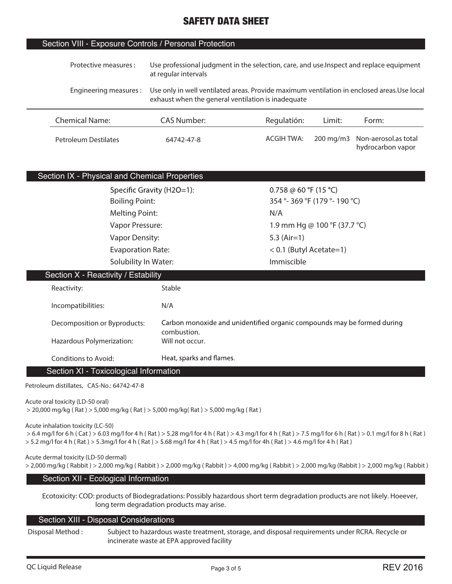### Section VIII - Exposure Controls / Personal Protection

| Use professional judgment in the selection, care, and use.Inspect and replace equipment<br>Protective measures :<br>at regular intervals |                    |                                                                                                                                                   |                       |                                           |  |
|------------------------------------------------------------------------------------------------------------------------------------------|--------------------|---------------------------------------------------------------------------------------------------------------------------------------------------|-----------------------|-------------------------------------------|--|
| Engineering measures :                                                                                                                   |                    | Use only in well ventilated areas. Provide maximum ventilation in enclosed areas. Use local<br>exhaust when the general ventilation is inadequate |                       |                                           |  |
| <b>Chemical Name:</b>                                                                                                                    | <b>CAS Number:</b> | Regulatión:                                                                                                                                       | Limit:                | Form:                                     |  |
| Petroleum Destilates                                                                                                                     | 64742-47-8         | <b>ACGIH TWA:</b>                                                                                                                                 | $200 \,\mathrm{mg/m}$ | Non-aerosol.as total<br>hydrocarbon vapor |  |

# Section IX - Physical and Chemical Properties

| Specific Gravity (H2O=1): | 0.758 @ 60 °F (15 °C)           |
|---------------------------|---------------------------------|
| <b>Boiling Point:</b>     | 354 ° - 369 °F (179 ° - 190 °C) |
| <b>Melting Point:</b>     | N/A                             |
| Vapor Pressure:           | 1.9 mm Hg @ 100 °F (37.7 °C)    |
| Vapor Density:            | 5.3 $(Air=1)$                   |
| <b>Evaporation Rate:</b>  | $< 0.1$ (Butyl Acetate=1)       |
| Solubility In Water:      | Immiscible                      |

| Section X - Reactivity / Estability    |                                                                                        |  |  |  |
|----------------------------------------|----------------------------------------------------------------------------------------|--|--|--|
| Reactivity:                            | Stable                                                                                 |  |  |  |
| Incompatibilities:                     | N/A                                                                                    |  |  |  |
| Decomposition or Byproducts:           | Carbon monoxide and unidentified organic compounds may be formed during<br>combustion. |  |  |  |
| Hazardous Polymerization:              | Will not occur.                                                                        |  |  |  |
| Conditions to Avoid:                   | Heat, sparks and flames.                                                               |  |  |  |
| Section XI - Toxicological Information |                                                                                        |  |  |  |

**Petroleum distillates, CAS-No.: 64742-47-8**

**Acute oral toxicity (LD-50 oral)**

 **> 20,000 mg/kg ( Rat ) > 5,000 mg/kg ( Rat ) > 5,000 mg/kg( Rat ) > 5,000 mg/kg ( Rat )**

**Acute inhalation toxicity (LC-50)**

 **> 6.4 mg/l for 6 h ( Cat ) > 6.03 mg/l for 4 h ( Rat ) > 5.28 mg/l for 4 h ( Rat ) > 4.3 mg/l for 4 h ( Rat ) > 7.5 mg/l for 6 h ( Rat ) > 0.1 mg/l for 8 h ( Rat ) > 5.2 mg/l for 4 h ( Rat ) > 5.3mg/l for 4 h ( Rat ) > 5.68 mg/l for 4 h ( Rat ) > 4.5 mg/l for 4h ( Rat ) > 4.6 mg/l for 4 h ( Rat )**

**Acute dermal toxicity (LD-50 dermal) > 2,000 mg/kg ( Rabbit ) > 2,000 mg/kg ( Rabbit ) > 2,000 mg/kg ( Rabbit ) > 4,000 mg/kg ( Rabbit ) > 2,000 mg/kg (Rabbit ) > 2,000 mg/kg ( Rabbit )**

# Section XII - Ecological Information

**Ecotoxicity: COD: products of Biodegradations: Possibly hazardous short term degradation products are not likely. Hoeever, long term degradation products may arise.**

# Section XIII - Disposal Considerations

**Disposal Method : Subject to hazardous waste treatment, storage, and disposal requirements under RCRA. Recycle or incinerate waste at EPA approved facility**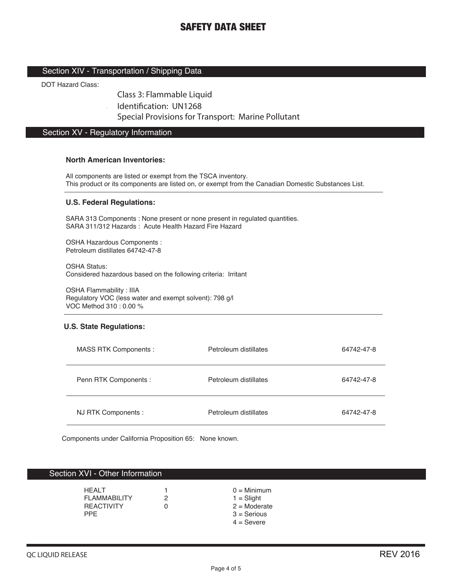### Section XIV - Transportation / Shipping Data

DOT Hazard Class:

Class 3: Flammable Liquid

Identification: UN1268

Special Provisions for Transport: Marine Pollutant

# Section XV - Regulatory Information

 $\overline{a}$ 

#### **North American Inventories:**

All components are listed or exempt from the TSCA inventory. This product or its components are listed on, or exempt from the Canadian Domestic Substances List.

#### **U.S. Federal Regulations:**

SARA 313 Components : None present or none present in regulated quantities. SARA 311/312 Hazards : Acute Health Hazard Fire Hazard

OSHA Hazardous Components : Petroleum distillates 64742-47-8

OSHA Status: Considered hazardous based on the following criteria: Irritant

OSHA Flammability : IIIA Regulatory VOC (less water and exempt solvent): 798 g/l VOC Method 310 : 0.00 %

#### **U.S. State Regulations:**

| MASS RTK Components : | Petroleum distillates | 64742-47-8 |
|-----------------------|-----------------------|------------|
| Penn RTK Components : | Petroleum distillates | 64742-47-8 |
| NJ RTK Components :   | Petroleum distillates | 64742-47-8 |

Components under California Proposition 65: None known.

#### Section XVI - Other Information

| <b>HFAIT</b><br><b>FI AMMARII ITY</b><br><b>REACTIVITY</b><br><b>PPF</b> | $0 =$ Minimum<br>$1 =$ Slight<br>$2 =$ Moderate<br>$3 =$ Serious |
|--------------------------------------------------------------------------|------------------------------------------------------------------|
|                                                                          | $4 =$ Severe                                                     |